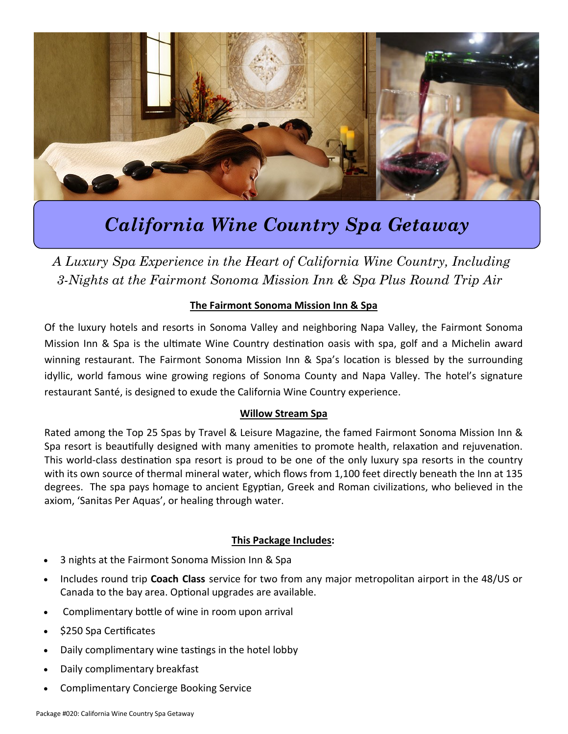

# *California Wine Country Spa Getaway*

*A Luxury Spa Experience in the Heart of California Wine Country, Including 3-Nights at the Fairmont Sonoma Mission Inn & Spa Plus Round Trip Air*

#### **The Fairmont Sonoma Mission Inn & Spa**

Of the luxury hotels and resorts in Sonoma Valley and neighboring Napa Valley, the Fairmont Sonoma Mission Inn & Spa is the ultimate Wine Country destination oasis with spa, golf and a Michelin award winning restaurant. The Fairmont Sonoma Mission Inn & Spa's location is blessed by the surrounding idyllic, world famous wine growing regions of Sonoma County and Napa Valley. The hotel's signature restaurant Santé, is designed to exude the California Wine Country experience.

#### **Willow Stream Spa**

Rated among the Top 25 Spas by Travel & Leisure Magazine, the famed Fairmont Sonoma Mission Inn & Spa resort is beautifully designed with many amenities to promote health, relaxation and rejuvenation. This world-class destination spa resort is proud to be one of the only luxury spa resorts in the country with its own source of thermal mineral water, which flows from 1,100 feet directly beneath the Inn at 135 degrees. The spa pays homage to ancient Egyptian, Greek and Roman civilizations, who believed in the axiom, 'Sanitas Per Aquas', or healing through water.

#### **This Package Includes:**

- 3 nights at the Fairmont Sonoma Mission Inn & Spa
- Includes round trip **Coach Class** service for two from any major metropolitan airport in the 48/US or Canada to the bay area. Optional upgrades are available.
- Complimentary bottle of wine in room upon arrival
- \$250 Spa Certificates
- Daily complimentary wine tastings in the hotel lobby
- Daily complimentary breakfast
- Complimentary Concierge Booking Service